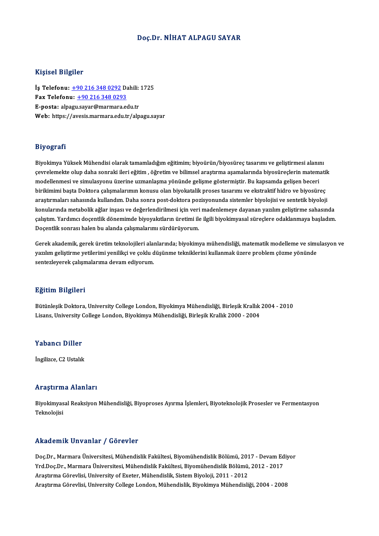### Doç.Dr.NİHAT ALPAGU SAYAR

### Kişisel Bilgiler

Kişisel Bilgiler<br>İş Telefonu: <u>+90 216 348 0292</u> Dahili: 1725<br>Fax Telefonu: 190 216 248 0292 Fax Telefonu: +90 216 348 0293<br>E-posta: alpagu.sayar@marmara.edu.tr İş Telefonu: <u>+90 216 348 0292</u> Dahili:<br>Fax Telefonu: <u>+90 216 348 0293</u><br>E-posta: alp[agu](tel:+90 216 348 0292)[.sayar@marmara.e](tel:+90 216 348 0293)du.tr<br>Web: bttps://evesis.marmara.edu.tr Web: https://avesis.marmara.edu.tr/alpagu.sayar

### Biyografi

B<mark>iyografi</mark><br>Biyokimya Yüksek Mühendisi olarak tamamladığım eğitimim; biyoürün/biyosüreç tasarımı ve geliştirmesi alanını<br>sevrelemekte elun daba senraki ileri eğitim, öğretim ve bilimesi arastırma asamalarında biyosüresisin e ry eği dir.<br>Biyokimya Yüksek Mühendisi olarak tamamladığım eğitimim; biyoürün/biyosüreç tasarımı ve geliştirmesi alanını<br>çevrelemekte olup daha sonraki ileri eğitim , öğretim ve bilimsel araştırma aşamalarında biyosüreçl Biyokimya Yüksek Mühendisi olarak tamamladığım eğitimim; biyoürün/biyosüreç tasarımı ve geliştirmesi alanı<br>çevrelemekte olup daha sonraki ileri eğitim , öğretim ve bilimsel araştırma aşamalarında biyosüreçlerin matem<br>model çevrelemekte olup daha sonraki ileri eğitim , öğretim ve bilimsel araştırma aşamalarında biyosüreçlerin matematil<br>modellenmesi ve simulasyonu üzerine uzmanlaşma yönünde gelişme göstermiştir. Bu kapsamda gelişen beceri<br>biri modellenmesi ve simulasyonu üzerine uzmanlaşma yönünde gelişme göstermiştir. Bu kapsamda gelişen beceri<br>birikimimi başta Doktora çalışmalarımın konusu olan biyokatalik proses tasarımı ve ekstraktif hidro ve biyosüreç<br>araşt konularında metabolik ağlar inşası ve değerlendirilmesi için veri madenlemeye dayanan yazılım geliştirme sahasında araştırmaları sahasında kullandım. Daha sonra post-doktora pozisyonunda sistemler biyolojisi ve sentetik biyoloji<br>konularında metabolik ağlar inşası ve değerlendirilmesi için veri madenlemeye dayanan yazılım geliştirme sah konularında metabolik ağlar inşası ve değerlendirilmesi için veri<br>çalıştım. Yardımcı doçentlik dönemimde biyoyakıtların üretimi ile<br>Doçentlik sonrası halen bu alanda çalışmalarımı sürdürüyorum.

yanyam, rarumeruoyenuk uoneminte biyoyaktaarın ureum ile ilgin biyokimyasarsureylere otaklanmaya başlatım.<br>Doçentlik sonrası halen bu alanda çalışmalarımı sürdürüyorum.<br>Gerek akademik, gerek üretim teknolojileri alanlarınd Böçenük sonrası naten bu alanda çalışmalarının surduruyorum.<br>Gerek akademik, gerek üretim teknolojileri alanlarında; biyokimya mühendisliği, matematik modelleme ve simi<br>santarlayanek selişmelerimi yenilikçi ve çoklu düşünm Gerek akademik, gerek üretim teknolojileri alaı<br>yazılım geliştirme yetilerimi yenilikçi ve çoklu d<br>sentezleyerek çalışmalarıma devam ediyorum. sentezleyerek çalışmalarıma devam ediyorum.<br>Eğitim Bilgileri

<mark>Eğitim Bilgileri</mark><br>Bütünleşik Doktora, University College London, Biyokimya Mühendisliği, Birleşik Krallık 2004 - 2010<br>Lisans University College Landan, Biyokimya Mühendisliği, Birleşik Krallık 2000, 2004 Lisansın Darysasar<br>Bütünleşik Doktora, University College London, Biyokimya Mühendisliği, Birleşik Krallık<br>Lisans, University College London, Biyokimya Mühendisliği, Birleşik Krallık 2000 - 2004 Lisans, University College London, Biyokimya Mühendisliği, Birleşik Krallık 2000 - 2004<br>Yabancı Diller

İngilizce, C2 Ustalık

### Araştırma Alanları

**Araştırma Alanları**<br>Biyokimyasal Reaksiyon Mühendisliği, Biyoproses Ayırma İşlemleri, Biyoteknolojik Prosesler ve Fermentasyon<br>Teknolojisi nn ayen m<br>Biyokimyas<br>Teknolojisi Akademik Unvanlar / Görevler

Akademik Unvanlar / Görevler<br>Doç.Dr., Marmara Üniversitesi, Mühendislik Fakültesi, Biyomühendislik Bölümü, 2017 - Devam Ediyor<br>Yrd Doc.Dr., Marmara Üniversitesi, Mühendislik Fakültesi, Biyomühendislik Bölümü, 2012 - 2017 YYRAA OMYK "ON VANYA" / "AOYOVICI"<br>Doç.Dr., Marmara Üniversitesi, Mühendislik Fakültesi, Biyomühendislik Bölümü, 2017 - Devam Ed<br>Yrd.Doç.Dr., Marmara Üniversitesi, Mühendislik Fakültesi, Biyomühendislik Bölümü, 2012 - 2017 Yrd.Doç.Dr., Marmara Üniversitesi, Mühendislik Fakültesi, Biyomühendislik Bölümü, 2012 - 2017<br>Araştırma Görevlisi, University of Exeter, Mühendislik, Sistem Biyoloji, 2011 - 2012 AraştırmaGörevlisi,UniversityColege London,Mühendislik,BiyokimyaMühendisliği,2004 -2008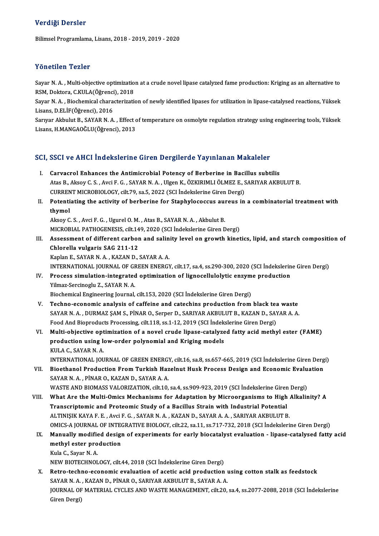### Verdiği Dersler

BilimselProgramlama,Lisans,2018 -2019,2019 -2020

### Yönetilen Tezler

Yönetilen Tezler<br>Sayar N. A. , Multi-objective optimization at a crude novel lipase catalyzed fame production: Kriging as an alternative to<br>RSM, Dektara *C.V.U. A (Öğreng*i), 2018 r oncench renci<br>Sayar N. A. , Multi-objective optimizatio<br>RSM, Doktora, C.KULA(Öğrenci), 2018<br>Sayar N. A. , Biashamisal sharastarizati Sayar N. A. , Multi-objective optimization at a crude novel lipase catalyzed fame production: Kriging as an alternative to<br>RSM, Doktora, C.KULA(Öğrenci), 2018<br>Sayar N. A. , Biochemical characterization of newly identified

RSM, Doktora, C.KULA(Öğrenci<br>Sayar N. A. , Biochemical chara<br>Lisans, D.ELİF(Öğrenci), 2016<br>Sarvar Altvılut B. SAYAR N. A Sayar N. A. , Biochemical characterization of newly identified lipases for utilization in lipase-catalysed reactions, Yüksek<br>Lisans, D.ELİF(Öğrenci), 2016<br>Sarıyar Akbulut B., SAYAR N. A. , Effect of temperature on osmolyte

Lisans, D.ELİF(Öğrenci), 2016<br>Sarıyar Akbulut B., SAYAR N. A. , Effect of temperature on osmolyte regulation strategy using engineering tools, Yüksek<br>Lisans, H.MANGAOĞLU(Öğrenci), 2013

# Lisans, H.MANGAOGLU(Ogrenci), 2013<br>SCI, SSCI ve AHCI İndekslerine Giren Dergilerde Yayınlanan Makaleler

| SCI, SSCI ve AHCI İndekslerine Giren Dergilerde Yayınlanan Makaleler |                                                                                                                                 |
|----------------------------------------------------------------------|---------------------------------------------------------------------------------------------------------------------------------|
| L.                                                                   | Carvacrol Enhances the Antimicrobial Potency of Berberine in Bacillus subtilis                                                  |
|                                                                      | Atas B., Aksoy C. S., Avci F. G., SAYAR N. A., Ulgen K., ÖZKIRIMLI ÖLMEZ E., SARIYAR AKBULUT B.                                 |
|                                                                      | CURRENT MICROBIOLOGY, cilt.79, sa.5, 2022 (SCI İndekslerine Giren Dergi)                                                        |
| П.                                                                   | Potentiating the activity of berberine for Staphylococcus aureus in a combinatorial treatment with                              |
|                                                                      | thymol                                                                                                                          |
|                                                                      | Aksoy C. S., Avci F. G., Ugurel O. M., Atas B., SAYAR N. A., Akbulut B.                                                         |
|                                                                      | MICROBIAL PATHOGENESIS, cilt 149, 2020 (SCI İndekslerine Giren Dergi)                                                           |
| III.                                                                 | Assessment of different carbon and salinity level on growth kinetics, lipid, and starch composition of                          |
|                                                                      | Chlorella vulgaris SAG 211-12                                                                                                   |
|                                                                      | Kaplan E., SAYAR N. A., KAZAN D., SAYAR A. A.                                                                                   |
|                                                                      | INTERNATIONAL JOURNAL OF GREEN ENERGY, cilt.17, sa.4, ss.290-300, 2020 (SCI Indekslerine Giren Dergi)                           |
| IV.                                                                  | Process simulation-integrated optimization of lignocellulolytic enzyme production                                               |
|                                                                      | Yilmaz-Sercinoglu Z., SAYAR N. A.                                                                                               |
|                                                                      | Biochemical Engineering Journal, cilt.153, 2020 (SCI Indekslerine Giren Dergi)                                                  |
| V.                                                                   | Techno-economic analysis of caffeine and catechins production from black tea waste                                              |
|                                                                      | SAYAR N. A., DURMAZ ŞAM S., PİNAR O., Serper D., SARIYAR AKBULUT B., KAZAN D., SAYAR A. A.                                      |
|                                                                      | Food And Bioproducts Processing, cilt.118, ss.1-12, 2019 (SCI Indekslerine Giren Dergi)                                         |
| VI.                                                                  | Multi-objective optimization of a novel crude lipase-catalyzed fatty acid methyl ester (FAME)                                   |
|                                                                      | production using low-order polynomial and Kriging models                                                                        |
|                                                                      | KULA C., SAYAR N.A.                                                                                                             |
|                                                                      | INTERNATIONAL JOURNAL OF GREEN ENERGY, cilt.16, sa.8, ss.657-665, 2019 (SCI Indekslerine Giren Dergi)                           |
| VII.                                                                 | Bioethanol Production From Turkish Hazelnut Husk Process Design and Economic Evaluation                                         |
|                                                                      | SAYAR N.A., PİNAR O., KAZAN D., SAYAR A.A.                                                                                      |
|                                                                      | WASTE AND BIOMASS VALORIZATION, cilt.10, sa.4, ss.909-923, 2019 (SCI İndekslerine Giren Dergi)                                  |
| VIII.                                                                | What Are the Multi-Omics Mechanisms for Adaptation by Microorganisms to High Alkalinity? A                                      |
|                                                                      | Transcriptomic and Proteomic Study of a Bacillus Strain with Industrial Potential                                               |
|                                                                      | ALTINIŞIK KAYA F. E., Avci F. G., SAYAR N. A., KAZAN D., SAYAR A. A., SARIYAR AKBULUT B.                                        |
|                                                                      | OMICS-A JOURNAL OF INTEGRATIVE BIOLOGY, cilt.22, sa.11, ss.717-732, 2018 (SCI Indekslerine Giren Dergi)                         |
|                                                                      | IX. Manually modified design of experiments for early biocatalyst evaluation - lipase-catalysed fatty acid                      |
|                                                                      | methyl ester production                                                                                                         |
|                                                                      | Kula C., Sayar N. A.                                                                                                            |
|                                                                      | NEW BIOTECHNOLOGY, cilt.44, 2018 (SCI Indekslerine Giren Dergi)                                                                 |
| X.                                                                   | Retro-techno-economic evaluation of acetic acid production using cotton stalk as feedstock                                      |
|                                                                      | SAYAR N. A., KAZAN D., PİNAR O., SARIYAR AKBULUT B., SAYAR A. A.                                                                |
|                                                                      | JOURNAL OF MATERIAL CYCLES AND WASTE MANAGEMENT, cilt.20, sa.4, ss.2077-2088, 2018 (SCI Indekslerine<br>$C_{\text{mean}}$ Deven |
|                                                                      |                                                                                                                                 |

SAYAR N. A.<br>JOURNAL OF<br>Giren Dergi)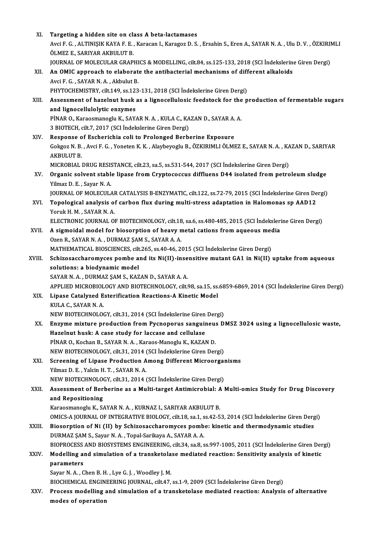| XI.    | Targeting a hidden site on class A beta-lactamases                                                                       |
|--------|--------------------------------------------------------------------------------------------------------------------------|
|        | Avci F. G. , ALTINIŞIK KAYA F. E. , Karacan I., Karagoz D. S. , Ersahin S., Eren A., SAYAR N. A. , Ulu D. V. , ÖZKIRIMLI |
|        | ÖLMEZ E., SARIYAR AKBULUT B.                                                                                             |
|        | JOURNAL OF MOLECULAR GRAPHICS & MODELLING, cilt.84, ss.125-133, 2018 (SCI İndekslerine Giren Dergi)                      |
| XII.   | An OMIC approach to elaborate the antibacterial mechanisms of different alkaloids                                        |
|        | Avci F. G., SAYAR N. A., Akbulut B.                                                                                      |
|        | PHYTOCHEMISTRY, cilt.149, ss.123-131, 2018 (SCI İndekslerine Giren Dergi)                                                |
| XIII.  | Assessment of hazelnut husk as a lignocellulosic feedstock for the production of fermentable sugars                      |
|        | and lignocellulolytic enzymes                                                                                            |
|        | PİNAR O., Karaosmanoglu K., SAYAR N. A., KULA C., KAZAN D., SAYAR A. A.                                                  |
|        | 3 BIOTECH, cilt.7, 2017 (SCI İndekslerine Giren Dergi)                                                                   |
| XIV.   | Response of Escherichia coli to Prolonged Berberine Exposure                                                             |
|        | Gokgoz N. B., Avci F. G., Yoneten K. K., Alaybeyoglu B., ÖZKIRIMLI ÖLMEZ E., SAYAR N. A., KAZAN D., SARIYAR              |
|        | <b>AKBULUT B.</b>                                                                                                        |
|        | MICROBIAL DRUG RESISTANCE, cilt.23, sa.5, ss.531-544, 2017 (SCI İndekslerine Giren Dergi)                                |
| XV.    | Organic solvent stable lipase from Cryptococcus diffluens D44 isolated from petroleum sludge                             |
|        | Yilmaz D. E., Sayar N. A.                                                                                                |
|        | JOURNAL OF MOLECULAR CATALYSIS B-ENZYMATIC, cilt.122, ss.72-79, 2015 (SCI Indekslerine Giren Dergi)                      |
| XVI.   | Topological analysis of carbon flux during multi-stress adaptation in Halomonas sp AAD12                                 |
|        | Yoruk H. M., SAYAR N. A.                                                                                                 |
|        |                                                                                                                          |
|        | ELECTRONIC JOURNAL OF BIOTECHNOLOGY, cilt.18, sa.6, ss.480-485, 2015 (SCI İndekslerine Giren Dergi)                      |
| XVII.  | A sigmoidal model for biosorption of heavy metal cations from aqueous media                                              |
|        | Ozen R., SAYAR N. A., DURMAZ ŞAM S., SAYAR A. A.                                                                         |
|        | MATHEMATICAL BIOSCIENCES, cilt.265, ss.40-46, 2015 (SCI Indekslerine Giren Dergi)                                        |
| XVIII. | Schizosaccharomyces pombe and its Ni(II)-insensitive mutant GA1 in Ni(II) uptake from aqueous                            |
|        | solutions: a biodynamic model                                                                                            |
|        | SAYAR N. A., DURMAZ ŞAM S., KAZAN D., SAYAR A. A.                                                                        |
|        | APPLIED MICROBIOLOGY AND BIOTECHNOLOGY, cilt.98, sa.15, ss.6859-6869, 2014 (SCI İndekslerine Giren Dergi)                |
| XIX.   | Lipase Catalyzed Esterification Reactions-A Kinetic Model                                                                |
|        | KULA C., SAYAR N. A.                                                                                                     |
|        | NEW BIOTECHNOLOGY, cilt.31, 2014 (SCI Indekslerine Giren Dergi)                                                          |
| XX.    | Enzyme mixture production from Pycnoporus sanguineus DMSZ 3024 using a lignocellulosic waste,                            |
|        | Hazelnut husk: A case study for laccase and cellulase                                                                    |
|        | PİNAR O., Kochan B., SAYAR N. A., Karaos-Manoglu K., KAZAN D.                                                            |
|        | NEW BIOTECHNOLOGY, cilt.31, 2014 (SCI Indekslerine Giren Dergi)                                                          |
| XXI.   | Screening of Lipase Production Among Different Microorganisms                                                            |
|        | Yilmaz D. E., Yalcin H. T., SAYAR N. A.                                                                                  |
|        | NEW BIOTECHNOLOGY, cilt.31, 2014 (SCI Indekslerine Giren Dergi)                                                          |
| XXII.  | Assessment of Berberine as a Multi-target Antimicrobial: A Multi-omics Study for Drug Discovery                          |
|        | and Repositioning                                                                                                        |
|        | Karaosmanoglu K., SAYAR N. A., KURNAZ I., SARIYAR AKBULUT B.                                                             |
|        | OMICS-A JOURNAL OF INTEGRATIVE BIOLOGY, cilt.18, sa.1, ss.42-53, 2014 (SCI Indekslerine Giren Dergi)                     |
| XXIII. | Biosorption of Ni (II) by Schizosaccharomyces pombe: kinetic and thermodynamic studies                                   |
|        | DURMAZ ŞAM S., Sayar N. A., Topal-Sarikaya A., SAYAR A. A.                                                               |
|        | BIOPROCESS AND BIOSYSTEMS ENGINEERING, cilt.34, sa.8, ss.997-1005, 2011 (SCI Indekslerine Giren Dergi)                   |
| XXIV.  | Modelling and simulation of a transketolase mediated reaction: Sensitivity analysis of kinetic                           |
|        | parameters                                                                                                               |
|        | Sayar N.A., Chen B.H., Lye G.J., Woodley J.M.                                                                            |
|        | BIOCHEMICAL ENGINEERING JOURNAL, cilt.47, ss.1-9, 2009 (SCI Indekslerine Giren Dergi)                                    |
| XXV.   | Process modelling and simulation of a transketolase mediated reaction: Analysis of alternative                           |
|        | modes of operation                                                                                                       |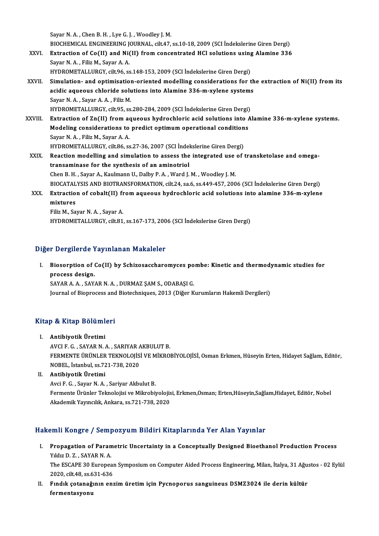Sayar N.A., Chen B.H., Lye G.J., Woodley J.M.

Sayar N. A. , Chen B. H. , Lye G. J. , Woodley J. M.<br>BIOCHEMICAL ENGINEERING JOURNAL, cilt.47, ss.10-18, 2009 (SCI İndekslerine Giren Dergi)<br>Eutrestion of Co(II) and Ni(II) from sonsantrated HCl solutions using Alamine 326

- Sayar N. A. , Chen B. H. , Lye G. J. , Woodley J. M.<br>BIOCHEMICAL ENGINEERING JOURNAL, cilt.47, ss.10-18, 2009 (SCI İndekslerine Giren Dergi)<br>XXVI. Extraction of Co(II) and Ni(II) from concentrated HCl solutions using Alami BIOCHEMICAL ENGINEERING J<br>Extraction of Co(II) and Ni<br>Sayar N. A. , Filiz M., Sayar A. A.<br>HYDROMETALLURCY silt 06.55 Extraction of Co(II) and Ni(II) from concentrated HCl solutions using Alamine 336<br>Sayar N. A. , Filiz M., Sayar A. A.<br>HYDROMETALLURGY, cilt.96, ss.148-153, 2009 (SCI İndekslerine Giren Dergi)
- Sayar N. A. , Filiz M., Sayar A. A.<br>HYDROMETALLURGY, cilt.96, ss.148-153, 2009 (SCI indekslerine Giren Dergi)<br>XXVII. Simulation- and optimisation-oriented modelling considerations for the extraction of Ni(II) from its<br>acid HYDROMETALLURGY, cilt.96, ss.148-153, 2009 (SCI İndekslerine Giren Dergi)<br>Simulation- and optimisation-oriented modelling considerations for th<br>acidic aqueous chloride solutions into Alamine 336-m-xylene systems<br>Sayar N.A. Simulation- and optimisation<br>acidic aqueous chloride solu<br>Sayar N.A., Sayar A.A., Filiz M.<br>HYDROMETALLURCY silt OE SS acidic aqueous chloride solutions into Alamine 336-m-xylene systems<br>Sayar N. A. , Sayar A. A. , Filiz M.<br>HYDROMETALLURGY, cilt.95, ss.280-284, 2009 (SCI İndekslerine Giren Dergi)<br>Extrastion of Zn(II) from aqueous bydroshlo Sayar N. A. , Sayar A. A. , Filiz M.<br>HYDROMETALLURGY, cilt.95, ss.280-284, 2009 (SCI İndekslerine Giren Dergi)<br>XXVIII. Extraction of Zn(II) from aqueous hydrochloric acid solutions into Alamine 336-m-xylene systems.
- HYDROMETALLURGY, cilt.95, ss.280-284, 2009 (SCI Indekslerine Giren Dergi)<br>Extraction of Zn(II) from aqueous hydrochloric acid solutions into *k*<br>Modeling considerations to predict optimum operational conditions<br>Sayar N.A., Extraction of Zn(II) from a<br>Modeling considerations to<br>Sayar N. A. , Filiz M., Sayar A. A.<br>HYDROMETALLURCY silt 96.55 Modeling considerations to predict optimum operational condition<br>Sayar N. A. , Filiz M., Sayar A. A.<br>HYDROMETALLURGY, cilt.86, ss.27-36, 2007 (SCI İndekslerine Giren Dergi)<br>Beastion modelling and simulation to assess the i Sayar N. A. , Filiz M., Sayar A. A.<br>HYDROMETALLURGY, cilt.86, ss.27-36, 2007 (SCI İndekslerine Giren Dergi)<br>XXIX. Reaction modelling and simulation to assess the integrated use of transketolase and omega-<br>transaminase for
- HYDROMETALLURGY, cilt.86, ss.27-36, 2007 (SCI Indel<br>Reaction modelling and simulation to assess the<br>transaminase for the synthesis of an aminotriol<br>Chan B. H., Savar A., Kaulmann H., Dalby B. A., Ward L. Reaction modelling and simulation to assess the integrated use<br>transaminase for the synthesis of an aminotriol<br>Chen B. H. , Sayar A., Kaulmann U., Dalby P. A. , Ward J. M. , Woodley J. M.<br>PIOCATALYSIS AND PIOTRANSEORMATION transaminase for the synthesis of an aminotriol<br>Chen B. H. , Sayar A., Kaulmann U., Dalby P. A. , Ward J. M. , Woodley J. M.<br>BIOCATALYSIS AND BIOTRANSFORMATION, cilt.24, sa.6, ss.449-457, 2006 (SCI İndekslerine Giren Dergi Chen B. H. , Sayar A., Kaulmann U., Dalby P. A. , Ward J. M. , Woodley J. M.<br>BIOCATALYSIS AND BIOTRANSFORMATION, cilt.24, sa.6, ss.449-457, 2006 (SCI İndekslerine Giren Dergi)<br>XXX. Extraction of cobalt(II) from aqueous hyd
- BIOCATAL<br>Extraction<br>mixtures<br>Eilia M. So Extraction of cobalt(II) fi<br>mixtures<br>Filiz M., Sayar N. A. , Sayar A.<br>HYDROMETALLURCY silt 91

mixtures<br>Filiz M., Sayar N. A. , Sayar A.<br>HYDROMETALLURGY, cilt.81, ss.167-173, 2006 (SCI İndekslerine Giren Dergi)

## Diğer Dergilerde Yayınlanan Makaleler

I. Biosorption of Co(II) by Schizosaccharomyces pombe: Kinetic and thermodynamic studies for process design.<br>SAYAR A. A. , SAYAR N. A. , DURMAZ SAM S., ODABASI G. Biosorption of Co(II) by Schizosaccharomyces po<br>process design.<br>SAYAR A. A. , SAYAR N. A. , DURMAZ ŞAM S., ODABAŞI G.<br>Journal of Bionnosses and Bistashniques 2012 (Dižer K

Journal of Bioprocess and Biotechniques, 2013 (Diğer Kurumların Hakemli Dergileri)

# <sub>Journal or Bioprocess and<br>Kitap & Kitap Bölümleri</sub> Itap & Kitap Bölüml<br>I. Antibiyotik Üretimi<br>AVCUE C. SAYAR N

I. Antibiyotik Üretimi<br>AVCI F. G. , SAYAR N. A. , SARIYAR AKBULUT B. FERMENTE ÜRÜNLER TEKNOLOJİSİ VE MİKROBİYOLOJİSİ, Osman Erkmen, Hüseyin Erten, Hidayet Sağlam, Editör, NOBEL, İstanbul, ss.721-738,2020

II. Antibiyotik Üretimi

Avci F. G., Sayar N. A., Sariyar Akbulut B. Antibiyotik Üretimi<br>Avci F. G. , Sayar N. A. , Sariyar Akbulut B.<br>Fermente Ürünler Teknolojisi ve Mikrobiyolojisi, Erkmen,Osman; Erten,Hüseyin,Sağlam,Hidayet, Editör, Nobel<br>Akademik Yayıngılık, Ankara, se 721, 729, 2020. Avci F. G. , Sayar N. A. , Sariyar Akbulut B.<br>Fermente Ürünler Teknolojisi ve Mikrobiyolojis<br>Akademik Yayıncılık, Ankara, ss.721-738, 2020

# Akademik Yayıncılık, Ankara, ss.721-738, 2020<br>Hakemli Kongre / Sempozyum Bildiri Kitaplarında Yer Alan Yayınlar

- I. Propagation of Parametric Uncertainty in a Conceptual y Designed Bioethanol Production Process YILLI XONGLE / COMP<br>Propagation of Paran<br>Yıldız D. Z. , SAYAR N. A.<br>The ESCARE 20 Europes Propagation of Parametric Uncertainty in a Conceptually Designed Bioethanol Production Process<br>Yıldız D. Z. , SAYAR N. A.<br>The ESCAPE 30 European Symposium on Computer Aided Process Engineering, Milan, İtalya, 31 Ağustos - Yıldız D. Z. , SAYAR N. A.<br>The ESCAPE 30 Europea<br>2020, cilt.48, ss.631-636<br>Eındık çatanağının an The ESCAPE 30 European Symposium on Computer Aided Process Engineering, Milan, İtalya, 31 Ağu:<br>2020, cilt.48, ss.631-636<br>II. Fındık çotanağının enzim üretim için Pycnoporus sanguineus DSMZ3024 ile derin kültür<br>formentasyon
- 2020, cilt.48, ss.6<br>Fındık çotanağ<br>fermentasyonu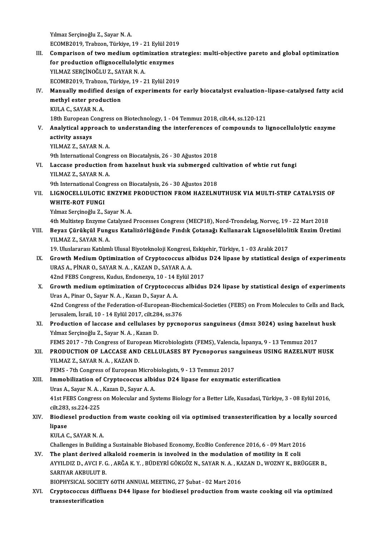Yılmaz Serçinoğlu Z., Sayar N. A. ECOMB2019,Trabzon,Türkiye,19 -21Eylül2019

III. Comparison of two medium optimization strategies: multi-objective pareto and global optimization ECOMB2019, Trabzon, Türkiye, 19 - 21 Eylül 201<br>Comparison of two medium optimization st<br>for production oflignocellulolytic enzymes<br>VU MAZ SERCINOČLU Z SAVAR N A Comparison of two medium optir<br>for production oflignocellulolytic<br>YILMAZ SERÇİNOĞLU Z., SAYAR N. A.<br>ECOMP2019 Trabzon Türkiye 19, 2 ECOMB2019,Trabzon,Türkiye,19 -21Eylül2019 YILMAZ SERÇİNOĞLU Z., SAYAR N. A.<br>ECOMB2019, Trabzon, Türkiye, 19 - 21 Eylül 2019<br>IV. Manually modified design of experiments for early biocatalyst evaluation–lipase-catalysed fatty acid<br>mothyl ester production

## ECOMB2019, Trabzon, Türki<br>Manually modified design<br>methyl ester production<br>KIII A.C. SAYAR N.A Manually modified<br>methyl ester produ<br>KULA C., SAYAR N. A.<br>19th Europeen Consu methyl ester production<br>KULA C., SAYAR N. A.<br>18th European Congress on Biotechnology, 1 - 04 Temmuz 2018, cilt.44, ss.120-121

## KULA C., SAYAR N. A.<br>18th European Congress on Biotechnology, 1 - 04 Temmuz 2018, cilt.44, ss.120-121<br>18th European Congress on Biotechnology, 1 - 04 Temmuz 2018, cilt.44, ss.120-121<br>18th European Congress on Biotechnology 18th European C<br>Analytical appr<br>activity assays<br><sup>VII MA7 7 - SAVA</sup> Analytical approach<br>activity assays<br>YILMAZ Z., SAYAR N. A.<br><sup>Oth International Congr</sub></sup> a<mark>ctivity assays</mark><br>YILMAZ Z., SAYAR N. A.<br>9th International Congress on Biocatalysis, 26 - 30 Ağustos 2018<br>Lassase produstion from barelnut busk via submenzed su

YILMAZ Z., SAYAR N. A.<br>9th International Congress on Biocatalysis, 26 - 30 Ağustos 2018<br>VI. Laccase production from hazelnut husk via submerged cultivation of whtie rut fungi<br>VII MAZ Z. SAYAR N. A 9th International Congr<br>Laccase production f<br>YILMAZ Z., SAYAR N. A.<br><sup>Oth International Congr</sub></sup> Laccase production from hazelnut husk via submerged cu<br>YILMAZ Z., SAYAR N. A.<br>9th International Congress on Biocatalysis, 26 - 30 Ağustos 2018<br>LICNOCELLIU OTIC ENZVME PRODUCTION EROM HAZELNI

## YILMAZ Z., SAYAR N. A.<br>9th International Congress on Biocatalysis, 26 - 30 Ağustos 2018<br>VII. LIGNOCELLULOTIC ENZYME PRODUCTION FROM HAZELNUTHUSK VIA MULTI-STEP CATALYSIS OF<br>WHITE POT FUNCI 9th International Congress on Biocatalysis, 26 - 30 Ağustos 2018<br>LIGNOCELLULOTIC ENZYME PRODUCTION FROM HAZELN<br>WHITE-ROT FUNGI<br>Yılmaz Serçinoğlu Z., Sayar N. A. LIGNOCELLULOTIC ENZYME<br>WHITE-ROT FUNGI<br>Yılmaz Serçinoğlu Z., Sayar N. A.<br>4th Multiston Engume Cetaluged WHIT<mark>E-ROT FUNGI</mark><br>Yılmaz Serçinoğlu Z., Sayar N. A.<br>4th Multistep Enzyme Catalyzed Processes Congress (MECP18), Nord-Trondelag, Norveç, 19 - 22 Mart 2018<br>Royaz Gürükçül Eungus Katalizörlüğünde Eundik Cotanağı Kullanarak Li

# Yılmaz Serçinoğlu Z., Sayar N. A.<br>4th Multistep Enzyme Catalyzed Processes Congress (MECP18), Nord-Trondelag, Norveç, 19 - 22 Mart 2018<br>1911. Beyaz Çürükçül Fungus Katalizörlüğünde Fındık Çotanağı Kullanarak Lignoselül 4th Multistep Enzyme C<br>Beyaz Çürükçül Fung<br>YILMAZ Z., SAYAR N. A.<br>19. Uluslararası Katılıml Beyaz Çürükçül Fungus Katalizörlüğünde Fındık Çotanağı Kullanarak Lignoselüloli<br>YILMAZ Z., SAYAR N. A.<br>19. Uluslararası Katılımlı Ulusal Biyoteknoloji Kongresi, Eskişehir, Türkiye, 1 - 03 Aralık 2017<br>Croyyth Medium Ontimir

YILMAZ Z., SAYAR N. A.<br>19. Uluslararası Katılımlı Ulusal Biyoteknoloji Kongresi, Eskişehir, Türkiye, 1 - 03 Aralık 2017<br>IX. Growth Medium Optimization of Cryptococcus albidus D24 lipase by statistical design of experiments 19. Uluslararası Katılımlı Ulusal Biyoteknoloji Kongresi, Eskişehir, Türkiye, 1 - 03 Aralık 2017<br>Growth Medium Optimization of Cryptococcus albidus D24 lipase by statistical de<br>URAS A., PİNAR O., SAYAR N.A., KAZAN D., SAYA Growth Medium Optimization of Cryptococcus albidus<br>URAS A., PİNAR O., SAYAR N. A. , KAZAN D., SAYAR A. A.<br>42nd FEBS Congress, Kudus, Endonezya, 10 - 14 Eylül 2017<br>Crowth medium ontimization of Cryptococcus albidus

X. Growth medium optimization of Cryptococcus albidus D24 lipase by statistical design of experiments 42nd FEBS Congress, Kudus, Endonezya, 10 - 14 E<br>Growth medium optimization of Cryptococcu<br>Uras A., Pinar O., Sayar N.A., Kazan D., Sayar A.A.<br>42nd Congress of the Eederstien of European Bic 42nd Congress of the Federation-of-European-Biochemical-Societies (FEBS) on From Molecules to Cells and Back, Ierusalem, İsrail, 10 - 14 Eylül 2017, cilt.284, ss.376 Uras A., Pinar O., Sayar N. A. , Kazan D., Sayar A. A.<br>42nd Congress of the Federation-of-European-Biocl<br>Jerusalem, İsrail, 10 - 14 Eylül 2017, cilt.284, ss.376<br>Production of lassese and sollulases by nyano

42nd Congress of the Federation-of-European-Biochemical-Societies (FEBS) on From Molecules to Cells and Ba<br>Jerusalem, İsrail, 10 - 14 Eylül 2017, cilt.284, ss.376<br>XI. Production of laccase and cellulases by pycnoporus sang Jerusalem, İsrail, 10 - 14 Eylül 2017, cilt.28<br>Production of laccase and cellulases l<br>Yılmaz Serçinoğlu Z., Sayar N. A. , Kazan D.<br>EEMS 2017 - 7th Congress of European Mi Production of laccase and cellulases by pycnoporus sanguineus (dmsz 3024) using hazelnut<br>Yılmaz Serçinoğlu Z., Sayar N. A. , Kazan D.<br>FEMS 2017 - 7th Congress of European Microbiologists (FEMS), Valencia, İspanya, 9 - 13 T

XI . PRODUCTION OF LACCASE AND CELLULASES BY Pycnoporus sanguineus USING HAZELNUT HUSK FEMS 2017 - 7th Congress of Europ<br>**PRODUCTION OF LACCASE AND<br>YILMAZ Z., SAYAR N.A., KAZAN D.**<br>FEMS - 7th Congress of European **N** XII. PRODUCTION OF LACCASE AND CELLULASES BY Pycnoporus sanguineus USING HAZELNUT HUSK<br>YILMAZ Z., SAYAR N. A., KAZAN D.<br>FEMS - 7th Congress of European Microbiologists, 9 - 13 Temmuz 2017

## YILMAZ Z., SAYAR N. A., KAZAN D.<br>FEMS - 7th Congress of European Microbiologists, 9 - 13 Temmuz 2017<br>XIII. Immobilization of Cryptococcus albidus D24 lipase for enzymatic esterification<br>Ilres A. Sayar N. A., Kazan D. Sayar FEMS - 7th Congress of European Microl<br>Immobilization of Cryptococcus albit<br>Uras A., Sayar N. A. , Kazan D., Sayar A. A.<br>41st EERS Congress on Molegular and Sy Uras A., Sayar N. A., Kazan D., Sayar A. A.

41st FEBS Congress on Molecular and Systems Biology for a Better Life, Kusadasi, Türkiye, 3 - 08 Eylül 2016, cilt,283, ss.224-225 41st FEBS Congress on Molecular and Systems Biology for a Better Life, Kusadasi, Türkiye, 3 - 08 Eylül 2016,<br>cilt.283, ss.224-225<br>XIV. Biodiesel production from waste cooking oil via optimised transesterification by a loca

## cilt.283<br>Biodie<br>lipase<br><sup>VIII A</sup> C Biodiesel productie<br>lipase<br>KULA C., SAYAR N. A.<br>Challanges in Buildin lipase<br>KULA C., SAYAR N. A.<br>Challenges in Building a Sustainable Biobased Economy, EcoBio Conference 2016, 6 - 09 Mart 2016

XV. The plant derived alkaloid roemerin is involved in themodulation ofmotility in E coli Challenges in Building a Sustainable Biobased Economy, EcoBio Conference 2016, 6 - 09 Mart 2016<br>The plant derived alkaloid roemerin is involved in the modulation of motility in E coli<br>AYYILDIZ D., AVCI F. G. , ARĞA K. Y. , The plant derived a<br>AYYILDIZ D., AVCI F. C<br>SARIYAR AKBULUT B.<br>PIOPHYSICAL SOCIETY AYYILDIZ D., AVCI F. G. , ARĞA K. Y. , BÜDEYRİ GÖKGÖZ N., SAYAR N. A. , KA<br>SARIYAR AKBULUT B.<br>BIOPHYSICAL SOCIETY 60TH ANNUAL MEETING, 27 Şubat - 02 Mart 2016<br>Cruptagaggua diffuana DAA linaga fan biodiagal production from

SARIYAR AKBULUT B.<br>BIOPHYSICAL SOCIETY 60TH ANNUAL MEETING, 27 Şubat - 02 Mart 2016<br>XVI. Cryptococcus diffluens D44 lipase for biodiesel production from waste cooking oil via optimized<br>transastarifisation BIOPHYSICAL SOCIE<br>Cryptococcus diffl<br>transesterification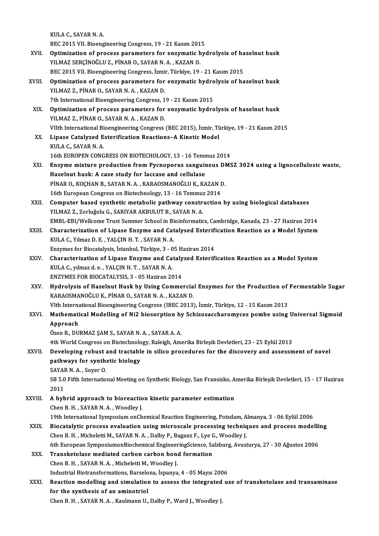KULA C., SAYAR N. A.

KULA C., SAYAR N. A.<br>BEC 2015 VII. Bioengineering Congress, 19 - 21 Kasım 2015<br>Ontimination of nuosess norematers for engumatis bu

- KULA C., SAYAR N. A.<br>BEC 2015 VII. Bioengineering Congress, 19 21 Kasım 2015<br>XVII. Optimization of process parameters for enzymatic hydrolysis of hazelnut husk<br>YU MAZ SERCINOČLU Z. PİNAR O. SAYAR N. A. KAZAN D. BEC 2015 VII. Bioengineering Congress, 19 - 21 Kasım 201<br>Optimization of process parameters for enzymatic h<br>YILMAZ SERÇİNOĞLU Z., PİNAR O., SAYAR N. A. , KAZAN D.<br>PEC 2015 VII. Biograineerina Congress İsmin Türkiye 10 Optimization of process parameters for enzymatic hydrolysis of ha<br>YILMAZ SERÇİNOĞLU Z., PİNAR O., SAYAR N. A. , KAZAN D.<br>BEC 2015 VII. Bioengineering Congress, İzmir, Türkiye, 19 - 21 Kasım 2015<br>Optimization of process par YILMAZ SERÇİNOĞLU Z., PİNAR O., SAYAR N. A. , KAZAN D.<br>BEC 2015 VII. Bioengineering Congress, İzmir, Türkiye, 19 - 21 Kasım 2015<br>XVIII. Optimization of process parameters for enzymatic hydrolysis of hazelnut husk<br>VII MAZ Z
- BEC 2015 VII. Bioengineering Congress, İzmir, Türkiye, 19 21 Kasım 2015<br>Optimization of process parameters for enzymatic hydrolysis of ha<br>YILMAZ Z., PİNAR O., SAYAR N.A., KAZAN D.<br>7th International Bioengineering Congres Optimization of process parameters for enzymatic hydro<br>YILMAZ Z., PİNAR O., SAYAR N. A. , KAZAN D.<br>7th International Bioengineering Congress, 19 - 21 Kasım 2015<br>Optimization of process parameters for enzymatic hydro YILMAZ Z., PİNAR O., SAYAR N. A. , KAZAN D.<br>7th International Bioengineering Congress, 19 - 21 Kasım 2015<br>XIX. Optimization of process parameters for enzymatic hydrolysis of hazelnut husk<br>XII MAZ Z. BİNAR O. SAYAR N. A. KA
- Tth International Bioengineering Congress, 1<br>Optimization of process parameters for<br>YILMAZ Z., PİNAR O., SAYAR N. A. , KAZAN D. Optimization of process parameters for enzymatic hydrolysis of hazelnut husk<br>YILMAZ Z., PİNAR O., SAYAR N. A. , KAZAN D.<br>VIIth International Bioengineering Congress (BEC 2015), İzmir, Türkiye, 19 - 21 Kasım 2015<br>Linasa Cat
- YILMAZ Z., PİNAR O., SAYAR N. A. , KAZAN D.<br>VIIth International Bioengineering Congress (BEC 2015), İzmir, Tü<br>XX. Lipase Catalyzed Esterification Reactions–A Kinetic Model<br>KULA C., SAYAR N. A. VIIth International Bi<br>Lipase Catalyzed E<br>KULA C., SAYAR N. A.<br>16th EUPOPEN CONC Lipase Catalyzed Esterification Reactions–A Kinetic Model<br>KULA C., SAYAR N. A.<br>16th EUROPEN CONGRESS ON BIOTECHOLOGY, 13 - 16 Temmuz 2014<br>Engume miytune production from Bygnoperus senguineus PMS
- KULA C., SAYAR N. A.<br>16th EUROPEN CONGRESS ON BIOTECHOLOGY, 13 16 Temmuz 2014<br>XXI. Enzyme mixture production from Pycnoporus sanguineus DMSZ 3024 using a lignocellulosic waste,<br>Harelnut busk: A sase study for lassess and 16th EUROPEN CONGRESS ON BIOTECHOLOGY, 13 - 16 Temn<br>Enzyme mixture production from Pycnoporus sanguir<br>Hazelnut husk: A case study for laccase and cellulase<br>PINAR O KOCHAN B SAYAR N A KARAOSMANOČLUK KA Enzyme mixture production from Pycnoporus sanguineus Dl<br>Hazelnut husk: A case study for laccase and cellulase<br>PİNAR O., KOÇHAN B., SAYAR N. A. , KARAOSMANOĞLU K., KAZAN D.<br>16th European Congrees an Bisteebnelezy 13 , 16 Te Hazelnut husk: A case study for laccase and cellulase<br>PINAR O., KOÇHAN B., SAYAR N. A. , KARAOSMANOĞLU K., KAZAN D.<br>16th European Congress on Biotechnology, 13 - 16 Temmuz 2014
- PINAR O., KOÇHAN B., SAYAR N. A. , KARAOSMANOĞLU K., KAZAN D.<br>16th European Congress on Biotechnology, 13 16 Temmuz 2014<br>XXII. Computer based synthetic metabolic pathway construction by using biological databases<br>XII. MA 16th European Congress on Biotechnology, 13 - 16 Temmuz<br>Computer based synthetic metabolic pathway constr<br>YILMAZ Z., Zorluğolu G., SARIYAR AKBULUT B., SAYAR N. A.<br>EMBL EPL(Wellsome Trust Summer School in Bioinfermatic Computer based synthetic metabolic pathway construction by using biological databases<br>YILMAZ Z., Zorluğolu G., SARIYAR AKBULUT B., SAYAR N. A.<br>EMBL-EBI/Wellcome Trust Summer School in Bioinformatics, Cambridge, Kanada, 23 EMBL-EBI/Wellcome Trust Summer School in Bioinformatics, Cambridge, Kanada, 23 - 27 Haziran 2014
- YILMAZ Z., Zorluğolu G., SARIYAR AKBULUT B., SAYAR N. A.<br>EMBL-EBI/Wellcome Trust Summer School in Bioinformatics, Cambridge, Kanada, 23 27 Haziran 2014<br>XXIII. Characterization of Lipase Enzyme and Catalysed Esterificatio Characterization of Lipase Enzyme and Catalysed Esterifi<br>KULA C., Yılmaz D. E. , YALÇIN H. T. , SAYAR N. A.<br>Enzymes for Biocatalysis, İstanbul, Türkiye, 3 - 05 Haziran 2014<br>Characterization of Lipase Enzyme and Catalyzed E KULA C., Yılmaz D. E. , YALÇIN H. T. , SAYAR N. A.<br>Enzymes for Biocatalysis, İstanbul, Türkiye, 3 - 05 Haziran 2014<br>XXIV. Characterization of Lipase Enzyme and Catalyzed Esterification Reaction as a Model System<br>KIU A C. v
- Enzymes for Biocatalysis, İstanbul, Türkiye, 3 0<br>Characterization of Lipase Enzyme and Ca<br>KULA C., yılmaz d. e. , YALÇIN H. T. , SAYAR N. A.<br>ENZYMES EOR BIOCATALYSIS 3 05 Harinan 20 Characterization of Lipase Enzyme and Cataly<br>KULA C., yılmaz d. e. , YALÇIN H. T. , SAYAR N. A.<br>ENZYMES FOR BIOCATALYSIS, 3 - 05 Haziran 2014<br>Hydrolysis of Harolnut Husk by Heins Commo
- KULA C., yılmaz d. e. , YALÇIN H. T. , SAYAR N. A.<br>ENZYMES FOR BIOCATALYSIS, 3 05 Haziran 2014<br>XXV. Hydrolysis of Hazelnut Husk by Using Commercial Enzymes for the Production of Fermentable Sugar<br>KARAQSMANQČLUK, BİNA ENZYMES FOR BIOCATALYSIS, 3 - 05 Haziran 2014<br>Hydrolysis of Hazelnut Husk by Using Commercia<br>KARAOSMANOĞLU K., PİNAR O., SAYAR N. A. , KAZAN D. Hydrolysis of Hazelnut Husk by Using Commercial Enzymes for the Production of<br>KARAOSMANOĞLU K., PİNAR O., SAYAR N. A. , KAZAN D.<br>VIth International Bioengineering Congress (IBEC 2013), İzmir, Türkiye, 12 - 15 Kasım 2013<br>Ma VIth International Bioengineering Congress (IBEC 2013), İzmir, Türkiye, 12 - 15 Kasım 2013
- XXVI. Mathematical Modelling of Ni2 biosorption by Schizosaccharomyces pombe using Universal Sigmoid<br>Approach

Özen R., DURMAZ ŞAM S., SAYAR N. A., SAYAR A. A.

4th World Congress on Biotechnology, Raleigh, Amerika Birleşik Devletleri, 23 - 25 Eylül 2013

- Özen R., DURMAZ ŞAM S., SAYAR N. A. , SAYAR A. A.<br>4th World Congress on Biotechnology, Raleigh, Amerika Birleşik Devletleri, 23 25 Eylül 2013<br>XXVII. Developing robust and tractable in silico procedures for the discovery 4th World Congress on Biotechnolo<br>Developing robust and tractable<br>pathways for synthetic biology<br>SAVAR N.A. Sover O Developing robust:<br>pathways for synth<br>SAYAR N. A. , Soyer O.<br>SP 5.0 Fifth Internatio pathways for synthetic biology<br>SAYAR N. A. , Soyer O.<br>SB 5.0 Fifth International Meeting on Synthetic Biology, San Fransisko, Amerika Birleşik Devletleri, 15 - 17 Haziran<br>2011 SAYAI<br>SB 5.0<br>2011
- SB 5.0 Fifth International Meeting on Synthetic Biology, San Fransisko, A<br>2011<br>XXVIII. A hybrid approach to bioreaction kinetic parameter estimation<br>Chan B H SAVAR N A Woodlay I 2011<br>A hybrid approach to bioreaction kinetic parameter estimation<br>Chen B. H. , SAYAR N. A. , Woodley J. 19th InternationalSymposiumonChemicalReactionEngineering,Potsdam,Almanya,3 -06Eylül2006 Chen B. H., SAYAR N. A., Woodley J.<br>19th International Symposium onChemical Reaction Engineering, Potsdam, Almanya, 3 - 06 Eylül 2006<br>XXIX. Biocatalytic process evaluation using microscale processing techniques and process
- 19th International Symposium onChemical Reaction Engineering, Potsdam, A<br>Biocatalytic process evaluation using microscale processing techniq<br>Chen B. H., Micheletti M., SAYAR N. A., Dalby P., Baganz F., Lye G., Woodley J.<br>E Biocatalytic process evaluation using microscale processing techniques and process modelli<br>Chen B. H. , Micheletti M., SAYAR N. A. , Dalby P., Baganz F., Lye G., Woodley J.<br>6th European SymposiumonBiochemical EngineeringSc Chen B. H. , Micheletti M., SAYAR N. A. , Dalby P., Baganz F., Lye G., Woodley J.<br>6th European SymposiumonBiochemical EngineeringScience, Salzburg, Avusturya, 27 - 30 Ağustos 2006<br>XXX. Transketolase mediated carbon carbon
- Chen B.H., SAYAR N.A., Micheletti M., Woodley J. Transketolase mediated carbon carbon bond formation<br>Chen B. H. , SAYAR N. A. , Micheletti M., Woodley J.<br>Industrial Biotransformations, Barselona, İspanya, 4 - 05 Mayıs 2006<br>Beastion modelling and simulation to essess the
- XXXI. Reaction modelling and simulation to assess the integrated use of transketolase and transaminase for the synthesis of an aminotriol Industrial Biotransformations, Barselo<br>Reaction modelling and simulation<br>for the synthesis of an aminotriol Chen B. H., SAYAR N. A., Kaulmann U., Dalby P., Ward J., Woodley J.